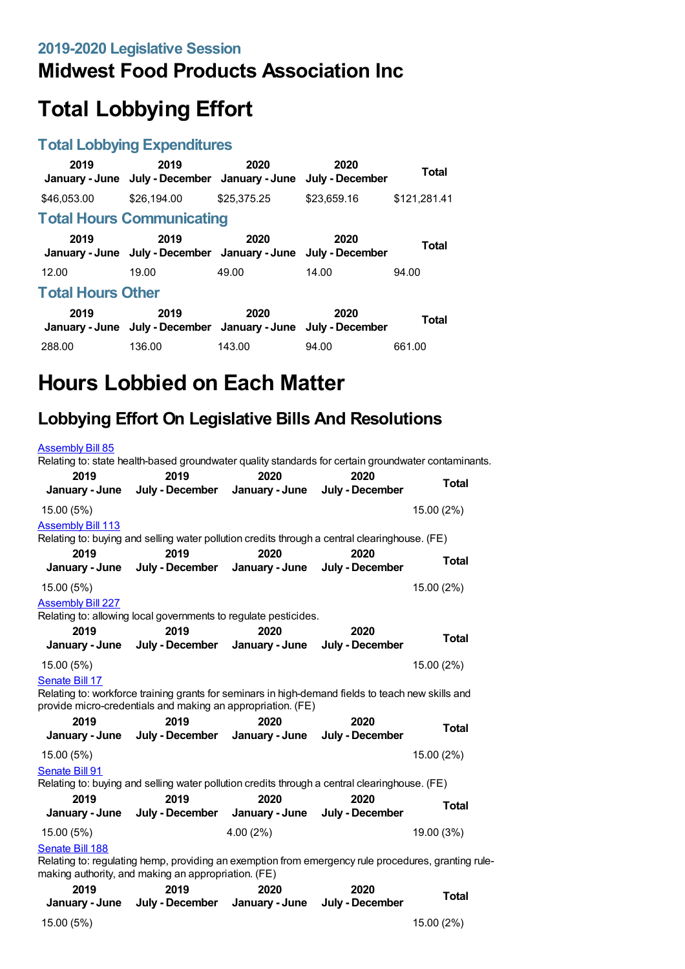# **Midwest Food Products Association Inc**

# **Total Lobbying Effort**

#### **Total Lobbying Expenditures**

| 2019                     | 2019<br>January - June July - December January - June | 2020        | 2020<br>July - December | Total        |
|--------------------------|-------------------------------------------------------|-------------|-------------------------|--------------|
| \$46,053,00              | \$26,194.00                                           | \$25,375.25 | \$23,659.16             | \$121.281.41 |
|                          | <b>Total Hours Communicating</b>                      |             |                         |              |
| 2019                     | 2019<br>January - June July - December January - June | 2020        | 2020<br>July - December | Total        |
| 12.00                    | 19.00                                                 | 49.00       | 14.00                   | 94.00        |
| <b>Total Hours Other</b> |                                                       |             |                         |              |
| 2019                     | 2019<br>January - June July - December January - June | 2020        | 2020<br>July - December | <b>Total</b> |
| 288.00                   | 136.00                                                | 143.00      | 94.00                   | 661.00       |

# **Hours Lobbied on Each Matter**

#### **Lobbying Effort On Legislative Bills And Resolutions**

| <b>Assembly Bill 85</b>                |                                                                                                                                                                  |                        |                         |              |
|----------------------------------------|------------------------------------------------------------------------------------------------------------------------------------------------------------------|------------------------|-------------------------|--------------|
| 2019<br>January - June                 | Relating to: state health-based groundwater quality standards for certain groundwater contaminants.<br>2019<br>July - December                                   | 2020<br>January - June | 2020<br>July - December | <b>Total</b> |
| 15.00 (5%)                             |                                                                                                                                                                  |                        |                         | 15.00 (2%)   |
| <b>Assembly Bill 113</b>               | Relating to: buying and selling water pollution credits through a central clearinghouse. (FE)                                                                    |                        |                         |              |
| 2019<br>January - June                 | 2019<br>July - December                                                                                                                                          | 2020<br>January - June | 2020<br>July - December | <b>Total</b> |
| 15.00 (5%)<br><b>Assembly Bill 227</b> | Relating to: allowing local governments to regulate pesticides.                                                                                                  |                        |                         | 15.00 (2%)   |
| 2019<br>January - June                 | 2019<br>July - December                                                                                                                                          | 2020<br>January - June | 2020<br>July - December | <b>Total</b> |
| 15.00 (5%)                             |                                                                                                                                                                  |                        |                         | 15.00 (2%)   |
| Senate Bill 17                         | Relating to: workforce training grants for seminars in high-demand fields to teach new skills and<br>provide micro-credentials and making an appropriation. (FE) |                        |                         |              |
| 2019<br>January - June                 | 2019<br>July - December                                                                                                                                          | 2020<br>January - June | 2020<br>July - December | <b>Total</b> |
| 15.00 (5%)                             |                                                                                                                                                                  |                        |                         | 15.00 (2%)   |
| Senate Bill 91                         | Relating to: buying and selling water pollution credits through a central clearinghouse. (FE)                                                                    |                        |                         |              |
| 2019                                   | 2019                                                                                                                                                             | 2020                   | 2020                    | <b>Total</b> |
| January - June                         | July - December                                                                                                                                                  | January - June         | July - December         |              |
| 15.00 (5%)                             |                                                                                                                                                                  | 4.00(2%)               |                         | 19.00 (3%)   |
| Senate Bill 188                        | Relating to: regulating hemp, providing an exemption from emergency rule procedures, granting rule-<br>making authority, and making an appropriation. (FE)       |                        |                         |              |
| 2019                                   | 2019                                                                                                                                                             | 2020                   | 2020                    | <b>Total</b> |
| January - June                         | July - December                                                                                                                                                  | January - June         | July - December         |              |
| 15.00 (5%)                             |                                                                                                                                                                  |                        |                         | 15.00 (2%)   |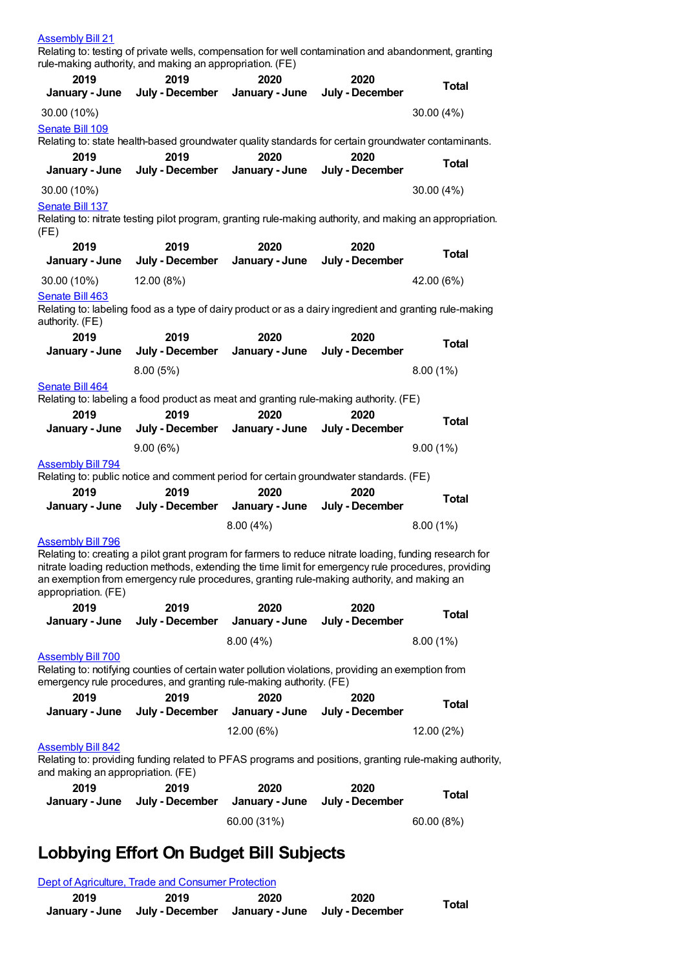| <b>Assembly Bill 21</b>                                                                                                        | Relating to: testing of private wells, compensation for well contamination and abandonment, granting<br>rule-making authority, and making an appropriation. (FE)                                   |                                |                         |                                                                                                        |
|--------------------------------------------------------------------------------------------------------------------------------|----------------------------------------------------------------------------------------------------------------------------------------------------------------------------------------------------|--------------------------------|-------------------------|--------------------------------------------------------------------------------------------------------|
| 2019                                                                                                                           | 2019                                                                                                                                                                                               | 2020                           | 2020                    | <b>Total</b>                                                                                           |
| January - June                                                                                                                 | July - December                                                                                                                                                                                    | January - June                 | July - December         |                                                                                                        |
| 30.00 (10%)<br>Senate Bill 109                                                                                                 |                                                                                                                                                                                                    |                                |                         | 30.00 (4%)                                                                                             |
|                                                                                                                                | Relating to: state health-based groundwater quality standards for certain groundwater contaminants.                                                                                                |                                |                         |                                                                                                        |
| 2019<br>January - June                                                                                                         | 2019<br>July - December                                                                                                                                                                            | 2020<br>January - June         | 2020<br>July - December | <b>Total</b>                                                                                           |
| 30.00 (10%)                                                                                                                    |                                                                                                                                                                                                    |                                |                         | 30.00 (4%)                                                                                             |
| <b>Senate Bill 137</b><br>(FE)                                                                                                 | Relating to: nitrate testing pilot program, granting rule-making authority, and making an appropriation.                                                                                           |                                |                         |                                                                                                        |
| 2019<br>January - June                                                                                                         | 2019<br>July - December                                                                                                                                                                            | 2020<br>January - June         | 2020<br>July - December | <b>Total</b>                                                                                           |
| 30.00 (10%)                                                                                                                    | 12.00 (8%)                                                                                                                                                                                         |                                |                         | 42.00 (6%)                                                                                             |
| Senate Bill 463<br>authority. (FE)                                                                                             | Relating to: labeling food as a type of dairy product or as a dairy ingredient and granting rule-making                                                                                            |                                |                         |                                                                                                        |
| 2019                                                                                                                           | 2019                                                                                                                                                                                               | 2020                           | 2020                    | Total                                                                                                  |
| January - June                                                                                                                 | July - December                                                                                                                                                                                    | January - June                 | July - December         |                                                                                                        |
| Senate Bill 464                                                                                                                | 8.00(5%)                                                                                                                                                                                           |                                |                         | $8.00(1\%)$                                                                                            |
|                                                                                                                                | Relating to: labeling a food product as meat and granting rule-making authority. (FE)                                                                                                              |                                |                         |                                                                                                        |
| 2019                                                                                                                           | 2019                                                                                                                                                                                               | 2020                           | 2020                    | <b>Total</b>                                                                                           |
| January - June                                                                                                                 | July - December                                                                                                                                                                                    | January - June                 | July - December         |                                                                                                        |
|                                                                                                                                | 9.00(6%)                                                                                                                                                                                           |                                |                         | 9.00(1%)                                                                                               |
| <b>Assembly Bill 794</b><br>Relating to: public notice and comment period for certain groundwater standards. (FE)              |                                                                                                                                                                                                    |                                |                         |                                                                                                        |
| 2019                                                                                                                           | 2019                                                                                                                                                                                               | 2020                           | 2020                    |                                                                                                        |
| January - June                                                                                                                 |                                                                                                                                                                                                    | July - December January - June | July - December         | <b>Total</b>                                                                                           |
|                                                                                                                                |                                                                                                                                                                                                    | 8.00(4%)                       |                         | 8.00(1%)                                                                                               |
| <b>Assembly Bill 796</b>                                                                                                       |                                                                                                                                                                                                    |                                |                         |                                                                                                        |
| Relating to: creating a pilot grant program for farmers to reduce nitrate loading, funding research for<br>appropriation. (FE) | nitrate loading reduction methods, extending the time limit for emergency rule procedures, providing<br>an exemption from emergency rule procedures, granting rule-making authority, and making an |                                |                         |                                                                                                        |
| 2019                                                                                                                           | 2019                                                                                                                                                                                               | 2020                           | 2020                    | <b>Total</b>                                                                                           |
| January - June                                                                                                                 | July - December                                                                                                                                                                                    | January - June                 | July - December         |                                                                                                        |
|                                                                                                                                |                                                                                                                                                                                                    | 8.00(4%)                       |                         | 8.00(1%)                                                                                               |
| <b>Assembly Bill 700</b><br>Relating to: notifying counties of certain water pollution violations, providing an exemption from | emergency rule procedures, and granting rule-making authority. (FE)                                                                                                                                |                                |                         |                                                                                                        |
| 2019<br>January - June                                                                                                         | 2019<br>July - December                                                                                                                                                                            | 2020<br>January - June         | 2020<br>July - December | Total                                                                                                  |
|                                                                                                                                |                                                                                                                                                                                                    |                                |                         |                                                                                                        |
| <b>Assembly Bill 842</b>                                                                                                       |                                                                                                                                                                                                    | 12.00 (6%)                     |                         | 12.00 (2%)                                                                                             |
| and making an appropriation. (FE)                                                                                              |                                                                                                                                                                                                    |                                |                         | Relating to: providing funding related to PFAS programs and positions, granting rule-making authority, |
| 2019                                                                                                                           | 2019                                                                                                                                                                                               | 2020                           | 2020                    | <b>Total</b>                                                                                           |
| January - June                                                                                                                 | July - December                                                                                                                                                                                    | January - June                 | July - December         |                                                                                                        |
|                                                                                                                                |                                                                                                                                                                                                    | 60.00 (31%)                    |                         | 60.00 (8%)                                                                                             |

# **Lobbying Effort On Budget Bill Subjects**

Dept of [Agriculture,](https://lobbying.wi.gov/What/BudgetBillSubjectInformation/2019REG/Information/879?tab=Efforts) Trade and Consumer Protection

| 2019 | 2019                                                          | 2020 | 2020 | Total |
|------|---------------------------------------------------------------|------|------|-------|
|      | January - June July - December January - June July - December |      |      |       |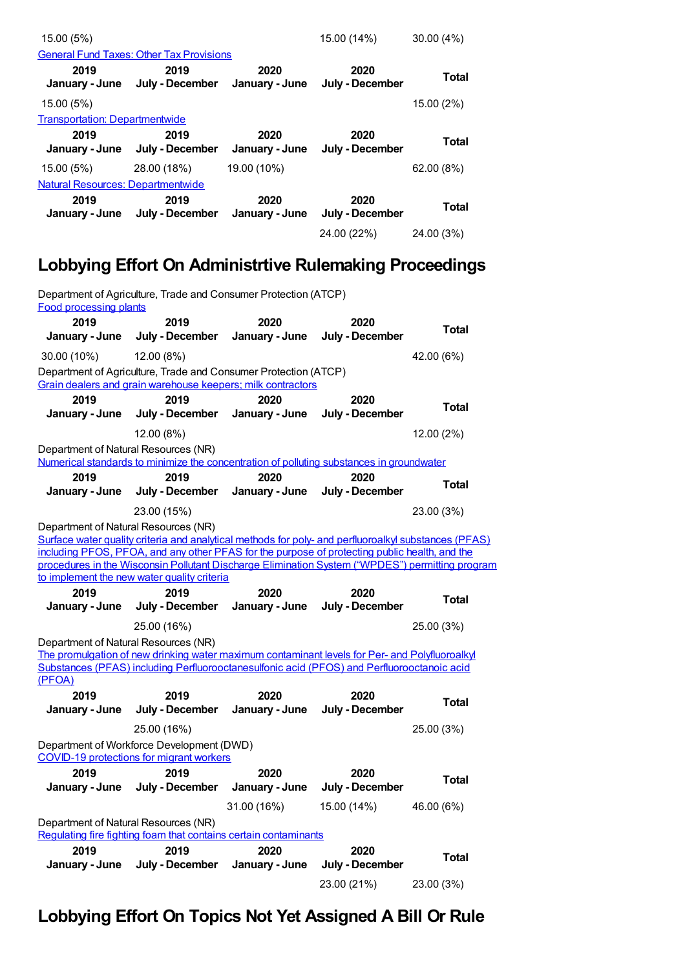| 15.00 (5%)                            |                                                 |                        | 15.00 (14%)             | $30.00(4\%)$ |
|---------------------------------------|-------------------------------------------------|------------------------|-------------------------|--------------|
|                                       | <b>General Fund Taxes: Other Tax Provisions</b> |                        |                         |              |
| 2019<br>January - June                | 2019<br>July - December                         | 2020<br>January - June | 2020<br>July - December | Total        |
| 15.00 (5%)                            |                                                 |                        |                         | 15.00 (2%)   |
| <b>Transportation: Departmentwide</b> |                                                 |                        |                         |              |
| 2019                                  | 2019                                            | 2020                   | 2020                    |              |
| January - June                        | July - December                                 | January - June         | July - December         | <b>Total</b> |
| 15.00 (5%)                            | 28.00 (18%)                                     | 19.00 (10%)            |                         | 62.00 (8%)   |
| Natural Resources: Departmentwide     |                                                 |                        |                         |              |
| 2019<br>January - June                | 2019<br>July - December                         | 2020<br>January - June | 2020<br>July - December | Total        |

### **Lobbying Effort On Administrtive Rulemaking Proceedings**

| Department of Agriculture, Trade and Consumer Protection (ATCP)<br><b>Food processing plants</b> |                                                                                                                                                                                                                                                                                                                                                         |                        |                         |              |  |
|--------------------------------------------------------------------------------------------------|---------------------------------------------------------------------------------------------------------------------------------------------------------------------------------------------------------------------------------------------------------------------------------------------------------------------------------------------------------|------------------------|-------------------------|--------------|--|
| 2019<br>January - June                                                                           | 2019<br>July - December                                                                                                                                                                                                                                                                                                                                 | 2020<br>January - June | 2020<br>July - December | Total        |  |
| 30.00 (10%)                                                                                      | 12.00 (8%)                                                                                                                                                                                                                                                                                                                                              |                        |                         | 42.00 (6%)   |  |
|                                                                                                  | Department of Agriculture, Trade and Consumer Protection (ATCP)<br>Grain dealers and grain warehouse keepers; milk contractors                                                                                                                                                                                                                          |                        |                         |              |  |
| 2019                                                                                             | 2019                                                                                                                                                                                                                                                                                                                                                    | 2020                   | 2020                    | Total        |  |
| January - June                                                                                   | July - December                                                                                                                                                                                                                                                                                                                                         | January - June         | July - December         |              |  |
|                                                                                                  | 12.00 (8%)                                                                                                                                                                                                                                                                                                                                              |                        |                         | 12.00 (2%)   |  |
| Department of Natural Resources (NR)                                                             | Numerical standards to minimize the concentration of polluting substances in groundwater                                                                                                                                                                                                                                                                |                        |                         |              |  |
| 2019                                                                                             | 2019                                                                                                                                                                                                                                                                                                                                                    | 2020                   | 2020                    | Total        |  |
| January - June                                                                                   | July - December                                                                                                                                                                                                                                                                                                                                         | January - June         | July - December         |              |  |
|                                                                                                  | 23.00 (15%)                                                                                                                                                                                                                                                                                                                                             |                        |                         | 23.00 (3%)   |  |
| Department of Natural Resources (NR)                                                             | Surface water quality criteria and analytical methods for poly- and perfluoroalkyl substances (PFAS)<br>including PFOS, PFOA, and any other PFAS for the purpose of protecting public health, and the<br>procedures in the Wisconsin Pollutant Discharge Elimination System ("WPDES") permitting program<br>to implement the new water quality criteria |                        |                         |              |  |
|                                                                                                  |                                                                                                                                                                                                                                                                                                                                                         |                        |                         |              |  |
| 2019                                                                                             | 2019                                                                                                                                                                                                                                                                                                                                                    | 2020                   | 2020                    |              |  |
| January - June                                                                                   | July - December                                                                                                                                                                                                                                                                                                                                         | January - June         | July - December         | <b>Total</b> |  |
|                                                                                                  | 25.00 (16%)                                                                                                                                                                                                                                                                                                                                             |                        |                         | 25.00 (3%)   |  |
| Department of Natural Resources (NR)                                                             | The promulgation of new drinking water maximum contaminant levels for Per- and Polyfluoroalkyl                                                                                                                                                                                                                                                          |                        |                         |              |  |
|                                                                                                  | Substances (PFAS) including Perfluorooctanesulfonic acid (PFOS) and Perfluorooctanoic acid                                                                                                                                                                                                                                                              |                        |                         |              |  |
| (PFOA)<br>2019<br>January - June                                                                 | 2019<br>July - December                                                                                                                                                                                                                                                                                                                                 | 2020<br>January - June | 2020<br>July - December | Total        |  |
|                                                                                                  | 25.00 (16%)                                                                                                                                                                                                                                                                                                                                             |                        |                         | 25.00 (3%)   |  |
|                                                                                                  | Department of Workforce Development (DWD)<br>COVID-19 protections for migrant workers                                                                                                                                                                                                                                                                   |                        |                         |              |  |
| 2019<br>January - June                                                                           | 2019<br>July - December                                                                                                                                                                                                                                                                                                                                 | 2020<br>January - June | 2020<br>July - December | <b>Total</b> |  |
|                                                                                                  |                                                                                                                                                                                                                                                                                                                                                         | 31.00 (16%)            | 15.00 (14%)             | 46.00 (6%)   |  |
| Department of Natural Resources (NR)                                                             |                                                                                                                                                                                                                                                                                                                                                         |                        |                         |              |  |
| 2019                                                                                             | Regulating fire fighting foam that contains certain contaminants<br>2019                                                                                                                                                                                                                                                                                | 2020                   | 2020                    |              |  |
| January - June                                                                                   | July - December                                                                                                                                                                                                                                                                                                                                         | January - June         | July - December         | <b>Total</b> |  |

### **Lobbying Effort On Topics Not Yet Assigned A Bill Or Rule**